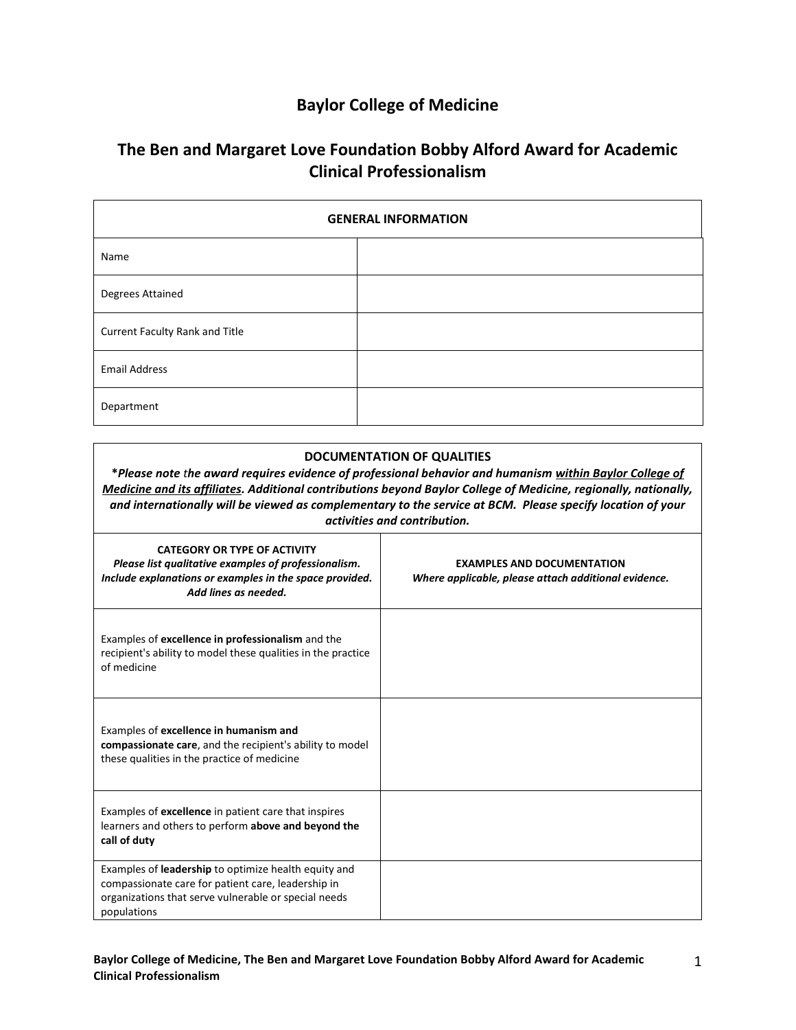## **Baylor College of Medicine**

## **The Ben and Margaret Love Foundation Bobby Alford Award for Academic Clinical Professionalism**

| <b>GENERAL INFORMATION</b>     |  |
|--------------------------------|--|
| Name                           |  |
| Degrees Attained               |  |
| Current Faculty Rank and Title |  |
| <b>Email Address</b>           |  |
| Department                     |  |

| <b>DOCUMENTATION OF QUALITIES</b><br>*Please note the award requires evidence of professional behavior and humanism within Baylor College of<br>Medicine and its affiliates. Additional contributions beyond Baylor College of Medicine, regionally, nationally,<br>and internationally will be viewed as complementary to the service at BCM. Please specify location of your<br>activities and contribution. |                                                                                           |  |
|----------------------------------------------------------------------------------------------------------------------------------------------------------------------------------------------------------------------------------------------------------------------------------------------------------------------------------------------------------------------------------------------------------------|-------------------------------------------------------------------------------------------|--|
| <b>CATEGORY OR TYPE OF ACTIVITY</b><br>Please list qualitative examples of professionalism.<br>Include explanations or examples in the space provided.<br>Add lines as needed.                                                                                                                                                                                                                                 | <b>EXAMPLES AND DOCUMENTATION</b><br>Where applicable, please attach additional evidence. |  |
| Examples of excellence in professionalism and the<br>recipient's ability to model these qualities in the practice<br>of medicine                                                                                                                                                                                                                                                                               |                                                                                           |  |
| Examples of excellence in humanism and<br>compassionate care, and the recipient's ability to model<br>these qualities in the practice of medicine                                                                                                                                                                                                                                                              |                                                                                           |  |
| Examples of excellence in patient care that inspires<br>learners and others to perform above and beyond the<br>call of duty                                                                                                                                                                                                                                                                                    |                                                                                           |  |
| Examples of leadership to optimize health equity and<br>compassionate care for patient care, leadership in<br>organizations that serve vulnerable or special needs<br>populations                                                                                                                                                                                                                              |                                                                                           |  |